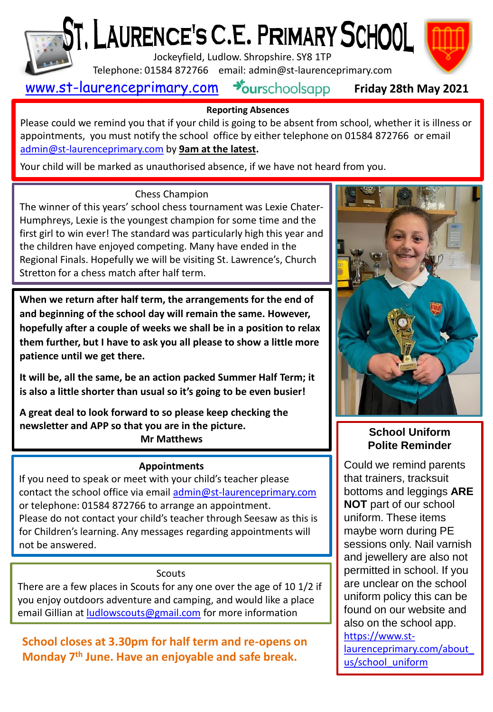

# $\delta$ T,  $\mathsf L$ AURENCE's C.E. PRIMARY  $\mathsf{SCH OOL}^-$

Jockeyfield, Ludlow. Shropshire. SY8 1TP

Telephone: 01584 872766 email: admin@st-laurenceprimary.com

## [www.st-laurenceprimary.com](http://www.st-laurenceprimary.com/)



#### **Reporting Absences**

Please could we remind you that if your child is going to be absent from school, whether it is illness or appointments, you must notify the school office by either telephone on 01584 872766 or email [admin@st-laurenceprimary.com](mailto:admin@st-laurenceprimary.com) by **9am at the latest.**

Your child will be marked as unauthorised absence, if we have not heard from you.

#### Chess Champion

The winner of this years' school chess tournament was Lexie Chater-Humphreys, Lexie is the youngest champion for some time and the first girl to win ever! The standard was particularly high this year and the children have enjoyed competing. Many have ended in the Regional Finals. Hopefully we will be visiting St. Lawrence's, Church Stretton for a chess match after half term.

**When we return after half term, the arrangements for the end of and beginning of the school day will remain the same. However, hopefully after a couple of weeks we shall be in a position to relax them further, but I have to ask you all please to show a little more patience until we get there.**

**It will be, all the same, be an action packed Summer Half Term; it is also a little shorter than usual so it's going to be even busier!**

**A great deal to look forward to so please keep checking the newsletter and APP so that you are in the picture. Mr Matthews**

#### **Appointments**

If you need to speak or meet with your child's teacher please contact the school office via email [admin@st-laurenceprimary.com](mailto:admin@st-laurenceprimary.com) or telephone: 01584 872766 to arrange an appointment. Please do not contact your child's teacher through Seesaw as this is for Children's learning. Any messages regarding appointments will not be answered.

#### **Scouts**

There are a few places in Scouts for any one over the age of 10 1/2 if you enjoy outdoors adventure and camping, and would like a place email Gillian at [ludlowscouts@gmail.com](mailto:ludlowscouts@gmail.com) for more information

**School closes at 3.30pm for half term and re-opens on Monday 7th June. Have an enjoyable and safe break.**



### **School Uniform Polite Reminder**

Could we remind parents that trainers, tracksuit bottoms and leggings **ARE NOT** part of our school uniform. These items maybe worn during PE sessions only. Nail varnish and jewellery are also not permitted in school. If you are unclear on the school uniform policy this can be found on our website and also on the school app. https://www.st[laurenceprimary.com/about\\_](https://www.st-laurenceprimary.com/about_us/school_uniform) us/school\_uniform